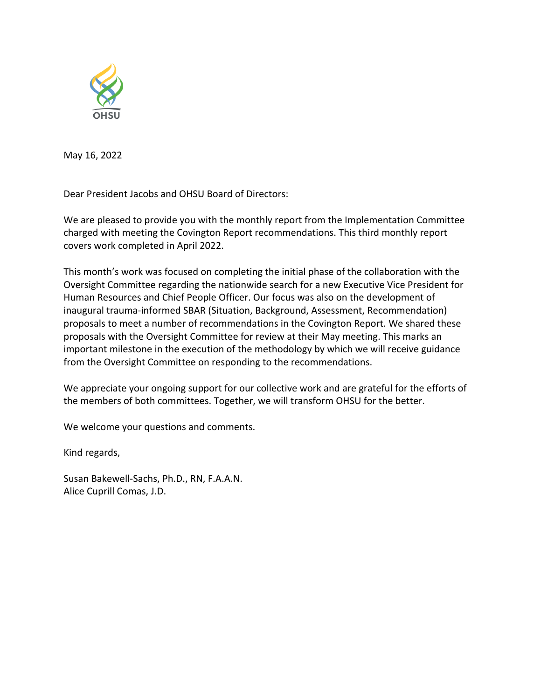

May 16, 2022

Dear President Jacobs and OHSU Board of Directors:

We are pleased to provide you with the monthly report from the Implementation Committee charged with meeting the Covington Report recommendations. This third monthly report covers work completed in April 2022.

This month's work was focused on completing the initial phase of the collaboration with the Oversight Committee regarding the nationwide search for a new Executive Vice President for Human Resources and Chief People Officer. Our focus was also on the development of inaugural trauma-informed SBAR (Situation, Background, Assessment, Recommendation) proposals to meet a number of recommendations in the Covington Report. We shared these proposals with the Oversight Committee for review at their May meeting. This marks an important milestone in the execution of the methodology by which we will receive guidance from the Oversight Committee on responding to the recommendations.

We appreciate your ongoing support for our collective work and are grateful for the efforts of the members of both committees. Together, we will transform OHSU for the better.

We welcome your questions and comments.

Kind regards,

Susan Bakewell-Sachs, Ph.D., RN, F.A.A.N. Alice Cuprill Comas, J.D.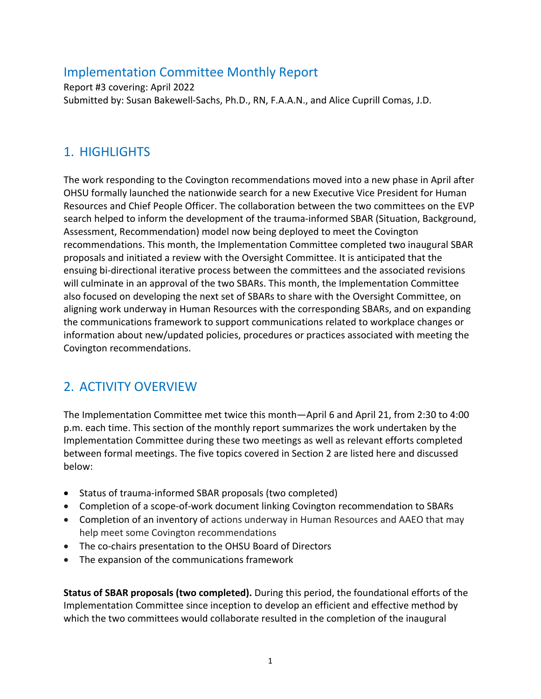### Implementation Committee Monthly Report

Report #3 covering: April 2022 Submitted by: Susan Bakewell-Sachs, Ph.D., RN, F.A.A.N., and Alice Cuprill Comas, J.D.

# 1. HIGHLIGHTS

The work responding to the Covington recommendations moved into a new phase in April after OHSU formally launched the nationwide search for a new Executive Vice President for Human Resources and Chief People Officer. The collaboration between the two committees on the EVP search helped to inform the development of the trauma-informed SBAR (Situation, Background, Assessment, Recommendation) model now being deployed to meet the Covington recommendations. This month, the Implementation Committee completed two inaugural SBAR proposals and initiated a review with the Oversight Committee. It is anticipated that the ensuing bi-directional iterative process between the committees and the associated revisions will culminate in an approval of the two SBARs. This month, the Implementation Committee also focused on developing the next set of SBARs to share with the Oversight Committee, on aligning work underway in Human Resources with the corresponding SBARs, and on expanding the communications framework to support communications related to workplace changes or information about new/updated policies, procedures or practices associated with meeting the Covington recommendations.

## 2. ACTIVITY OVERVIEW

The Implementation Committee met twice this month—April 6 and April 21, from 2:30 to 4:00 p.m. each time. This section of the monthly report summarizes the work undertaken by the Implementation Committee during these two meetings as well as relevant efforts completed between formal meetings. The five topics covered in Section 2 are listed here and discussed below:

- Status of trauma-informed SBAR proposals (two completed)
- Completion of a scope-of-work document linking Covington recommendation to SBARs
- Completion of an inventory of actions underway in Human Resources and AAEO that may help meet some Covington recommendations
- The co-chairs presentation to the OHSU Board of Directors
- The expansion of the communications framework

**Status of SBAR proposals (two completed).** During this period, the foundational efforts of the Implementation Committee since inception to develop an efficient and effective method by which the two committees would collaborate resulted in the completion of the inaugural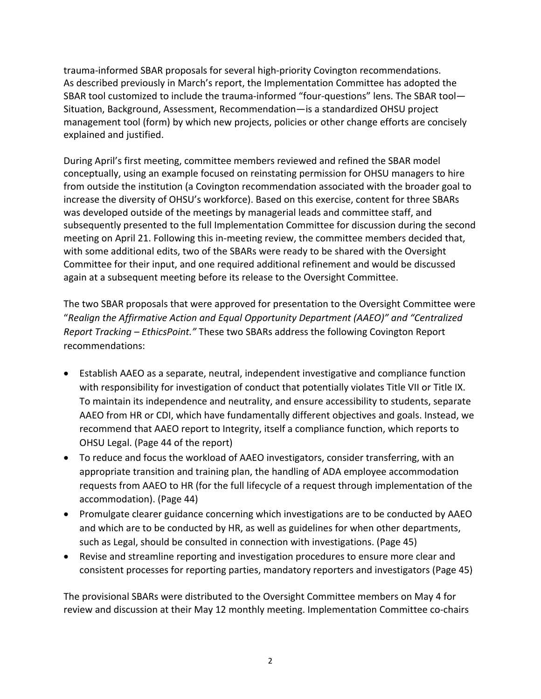trauma-informed SBAR proposals for several high-priority Covington recommendations. As described previously in March's report, the Implementation Committee has adopted the SBAR tool customized to include the trauma-informed "four-questions" lens. The SBAR tool— Situation, Background, Assessment, Recommendation—is a standardized OHSU project management tool (form) by which new projects, policies or other change efforts are concisely explained and justified.

During April's first meeting, committee members reviewed and refined the SBAR model conceptually, using an example focused on reinstating permission for OHSU managers to hire from outside the institution (a Covington recommendation associated with the broader goal to increase the diversity of OHSU's workforce). Based on this exercise, content for three SBARs was developed outside of the meetings by managerial leads and committee staff, and subsequently presented to the full Implementation Committee for discussion during the second meeting on April 21. Following this in-meeting review, the committee members decided that, with some additional edits, two of the SBARs were ready to be shared with the Oversight Committee for their input, and one required additional refinement and would be discussed again at a subsequent meeting before its release to the Oversight Committee.

The two SBAR proposals that were approved for presentation to the Oversight Committee were "*Realign the Affirmative Action and Equal Opportunity Department (AAEO)" and "Centralized Report Tracking – EthicsPoint."* These two SBARs address the following Covington Report recommendations:

- Establish AAEO as a separate, neutral, independent investigative and compliance function with responsibility for investigation of conduct that potentially violates Title VII or Title IX. To maintain its independence and neutrality, and ensure accessibility to students, separate AAEO from HR or CDI, which have fundamentally different objectives and goals. Instead, we recommend that AAEO report to Integrity, itself a compliance function, which reports to OHSU Legal. (Page 44 of the report)
- To reduce and focus the workload of AAEO investigators, consider transferring, with an appropriate transition and training plan, the handling of ADA employee accommodation requests from AAEO to HR (for the full lifecycle of a request through implementation of the accommodation). (Page 44)
- Promulgate clearer guidance concerning which investigations are to be conducted by AAEO and which are to be conducted by HR, as well as guidelines for when other departments, such as Legal, should be consulted in connection with investigations. (Page 45)
- Revise and streamline reporting and investigation procedures to ensure more clear and consistent processes for reporting parties, mandatory reporters and investigators (Page 45)

The provisional SBARs were distributed to the Oversight Committee members on May 4 for review and discussion at their May 12 monthly meeting. Implementation Committee co-chairs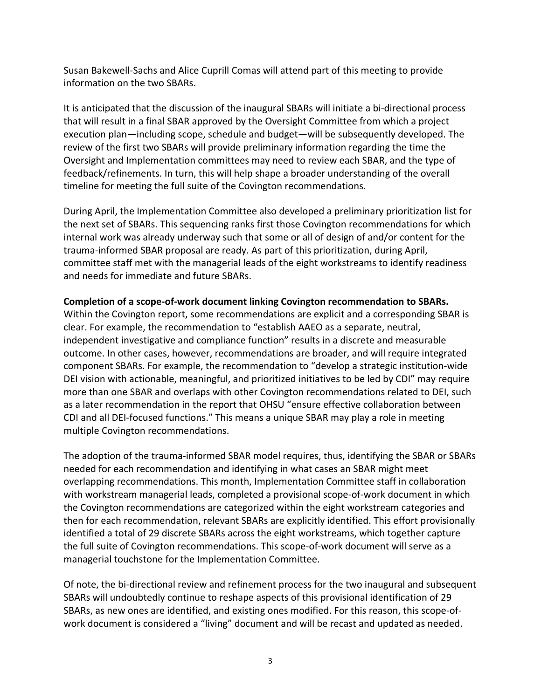Susan Bakewell-Sachs and Alice Cuprill Comas will attend part of this meeting to provide information on the two SBARs.

It is anticipated that the discussion of the inaugural SBARs will initiate a bi-directional process that will result in a final SBAR approved by the Oversight Committee from which a project execution plan—including scope, schedule and budget—will be subsequently developed. The review of the first two SBARs will provide preliminary information regarding the time the Oversight and Implementation committees may need to review each SBAR, and the type of feedback/refinements. In turn, this will help shape a broader understanding of the overall timeline for meeting the full suite of the Covington recommendations.

During April, the Implementation Committee also developed a preliminary prioritization list for the next set of SBARs. This sequencing ranks first those Covington recommendations for which internal work was already underway such that some or all of design of and/or content for the trauma-informed SBAR proposal are ready. As part of this prioritization, during April, committee staff met with the managerial leads of the eight workstreams to identify readiness and needs for immediate and future SBARs.

#### **Completion of a scope-of-work document linking Covington recommendation to SBARs.**

Within the Covington report, some recommendations are explicit and a corresponding SBAR is clear. For example, the recommendation to "establish AAEO as a separate, neutral, independent investigative and compliance function" results in a discrete and measurable outcome. In other cases, however, recommendations are broader, and will require integrated component SBARs. For example, the recommendation to "develop a strategic institution-wide DEI vision with actionable, meaningful, and prioritized initiatives to be led by CDI" may require more than one SBAR and overlaps with other Covington recommendations related to DEI, such as a later recommendation in the report that OHSU "ensure effective collaboration between CDI and all DEI-focused functions." This means a unique SBAR may play a role in meeting multiple Covington recommendations.

The adoption of the trauma-informed SBAR model requires, thus, identifying the SBAR or SBARs needed for each recommendation and identifying in what cases an SBAR might meet overlapping recommendations. This month, Implementation Committee staff in collaboration with workstream managerial leads, completed a provisional scope-of-work document in which the Covington recommendations are categorized within the eight workstream categories and then for each recommendation, relevant SBARs are explicitly identified. This effort provisionally identified a total of 29 discrete SBARs across the eight workstreams, which together capture the full suite of Covington recommendations. This scope-of-work document will serve as a managerial touchstone for the Implementation Committee.

Of note, the bi-directional review and refinement process for the two inaugural and subsequent SBARs will undoubtedly continue to reshape aspects of this provisional identification of 29 SBARs, as new ones are identified, and existing ones modified. For this reason, this scope-ofwork document is considered a "living" document and will be recast and updated as needed.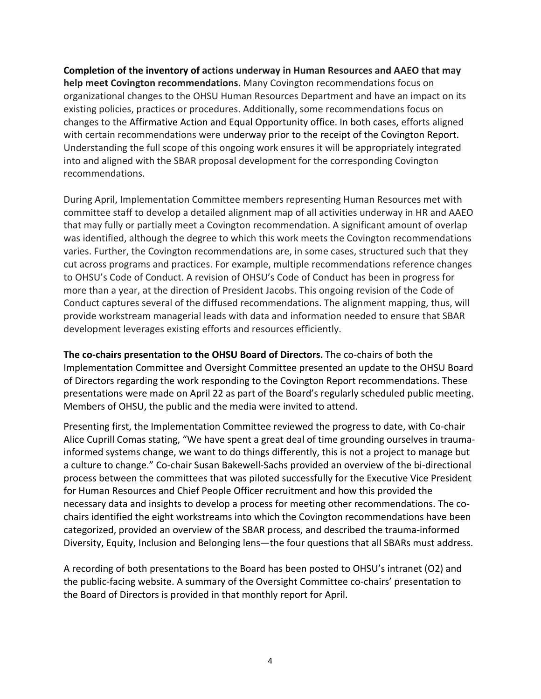**Completion of the inventory of actions underway in Human Resources and AAEO that may help meet Covington recommendations.** Many Covington recommendations focus on organizational changes to the OHSU Human Resources Department and have an impact on its existing policies, practices or procedures. Additionally, some recommendations focus on changes to the Affirmative Action and Equal Opportunity office. In both cases, efforts aligned with certain recommendations were underway prior to the receipt of the Covington Report. Understanding the full scope of this ongoing work ensures it will be appropriately integrated into and aligned with the SBAR proposal development for the corresponding Covington recommendations.

During April, Implementation Committee members representing Human Resources met with committee staff to develop a detailed alignment map of all activities underway in HR and AAEO that may fully or partially meet a Covington recommendation. A significant amount of overlap was identified, although the degree to which this work meets the Covington recommendations varies. Further, the Covington recommendations are, in some cases, structured such that they cut across programs and practices. For example, multiple recommendations reference changes to OHSU's Code of Conduct. A revision of OHSU's Code of Conduct has been in progress for more than a year, at the direction of President Jacobs. This ongoing revision of the Code of Conduct captures several of the diffused recommendations. The alignment mapping, thus, will provide workstream managerial leads with data and information needed to ensure that SBAR development leverages existing efforts and resources efficiently.

**The co-chairs presentation to the OHSU Board of Directors.** The co-chairs of both the Implementation Committee and Oversight Committee presented an update to the OHSU Board of Directors regarding the work responding to the Covington Report recommendations. These presentations were made on April 22 as part of the Board's regularly scheduled public meeting. Members of OHSU, the public and the media were invited to attend.

Presenting first, the Implementation Committee reviewed the progress to date, with Co-chair Alice Cuprill Comas stating, "We have spent a great deal of time grounding ourselves in traumainformed systems change, we want to do things differently, this is not a project to manage but a culture to change." Co-chair Susan Bakewell-Sachs provided an overview of the bi-directional process between the committees that was piloted successfully for the Executive Vice President for Human Resources and Chief People Officer recruitment and how this provided the necessary data and insights to develop a process for meeting other recommendations. The cochairs identified the eight workstreams into which the Covington recommendations have been categorized, provided an overview of the SBAR process, and described the trauma-informed Diversity, Equity, Inclusion and Belonging lens—the four questions that all SBARs must address.

A recording of both presentations to the Board has been posted to OHSU's intranet (O2) and the public-facing website. A summary of the Oversight Committee co-chairs' presentation to the Board of Directors is provided in that monthly report for April.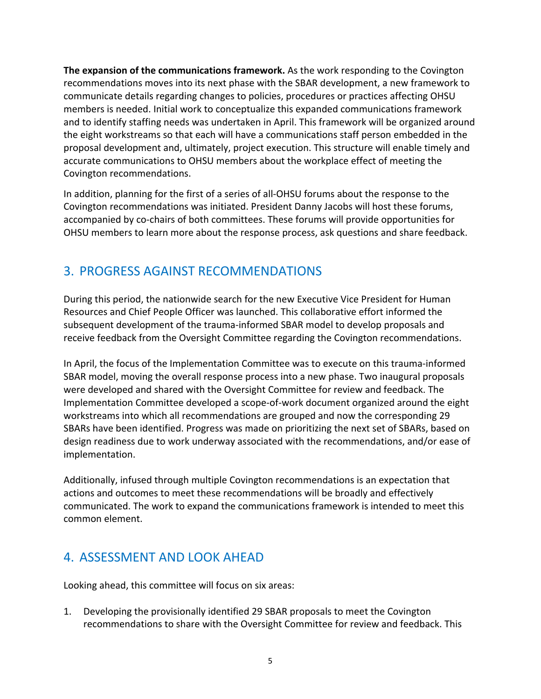**The expansion of the communications framework.** As the work responding to the Covington recommendations moves into its next phase with the SBAR development, a new framework to communicate details regarding changes to policies, procedures or practices affecting OHSU members is needed. Initial work to conceptualize this expanded communications framework and to identify staffing needs was undertaken in April. This framework will be organized around the eight workstreams so that each will have a communications staff person embedded in the proposal development and, ultimately, project execution. This structure will enable timely and accurate communications to OHSU members about the workplace effect of meeting the Covington recommendations.

In addition, planning for the first of a series of all-OHSU forums about the response to the Covington recommendations was initiated. President Danny Jacobs will host these forums, accompanied by co-chairs of both committees. These forums will provide opportunities for OHSU members to learn more about the response process, ask questions and share feedback.

## 3. PROGRESS AGAINST RECOMMENDATIONS

During this period, the nationwide search for the new Executive Vice President for Human Resources and Chief People Officer was launched. This collaborative effort informed the subsequent development of the trauma-informed SBAR model to develop proposals and receive feedback from the Oversight Committee regarding the Covington recommendations.

In April, the focus of the Implementation Committee was to execute on this trauma-informed SBAR model, moving the overall response process into a new phase. Two inaugural proposals were developed and shared with the Oversight Committee for review and feedback. The Implementation Committee developed a scope-of-work document organized around the eight workstreams into which all recommendations are grouped and now the corresponding 29 SBARs have been identified. Progress was made on prioritizing the next set of SBARs, based on design readiness due to work underway associated with the recommendations, and/or ease of implementation.

Additionally, infused through multiple Covington recommendations is an expectation that actions and outcomes to meet these recommendations will be broadly and effectively communicated. The work to expand the communications framework is intended to meet this common element.

## 4. ASSESSMENT AND LOOK AHEAD

Looking ahead, this committee will focus on six areas:

1. Developing the provisionally identified 29 SBAR proposals to meet the Covington recommendations to share with the Oversight Committee for review and feedback. This